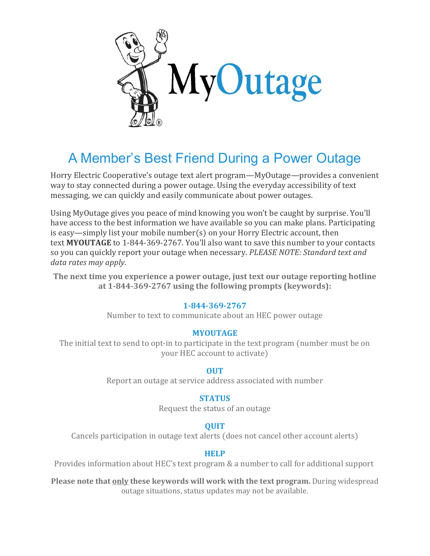

# A Member's Best Friend During a Power Outage

Horry Electric Cooperative's outage text alert program—MyOutage—provides a convenient way to stay connected during a power outage. Using the everyday accessibility of text messaging, we can quickly and easily communicate about power outages.

Using MyOutage gives you peace of mind knowing you won't be caught by surprise. You'll have access to the best information we have available so you can make plans. Participating is easy—simply list your mobile number(s) on your Horry Electric account, then text **MYOUTAGE** to 1-844-369-2767. You'll also want to save this number to your contacts so you can quickly report your outage when necessary. *PLEASE NOTE: Standard text and data rates may apply.*

**The next time you experience a power outage, just text our outage reporting hotline at 1-844-369-2767 using the following prompts (keywords):**

#### **1-844-369-2767**

Number to text to communicate about an HEC power outage

#### **MYOUTAGE**

The initial text to send to opt-in to participate in the text program (number must be on your HEC account to activate)

#### **OUT**

Report an outage at service address associated with number

#### **STATUS**

Request the status of an outage

### **QUIT**

Cancels participation in outage text alerts (does not cancel other account alerts)

#### **HELP**

Provides information about HEC's text program & a number to call for additional support

**Please note that only these keywords will work with the text program.** During widespread outage situations, status updates may not be available.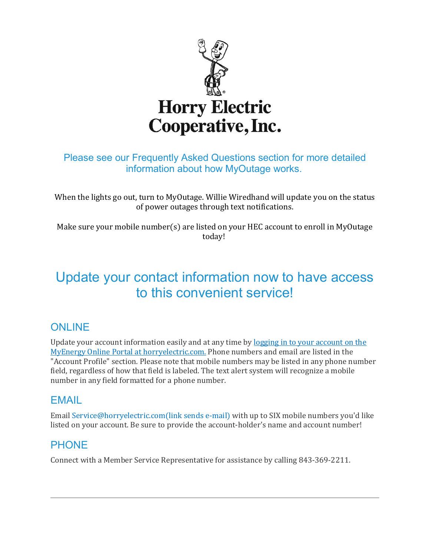

## Please see our Frequently Asked Questions section for more detailed information about how MyOutage works.

When the lights go out, turn to MyOutage. Willie Wiredhand will update you on the status of power outages through text notifications.

Make sure your mobile number(s) are listed on your HEC account to enroll in MyOutage today!

## Update your contact information now to have access to this convenient service!

## **ONLINE**

Update your account information easily and at any time by logging in to your [account](https://myenergy.horryelectric.com/oscp/OnlineServices/FeaturesLogin/tabid/134/Default.aspx) on the MyEnergy Online Portal at [horryelectric.com.](https://myenergy.horryelectric.com/oscp/OnlineServices/FeaturesLogin/tabid/134/Default.aspx) Phone numbers and email are listed in the "Account Profile" section. Please note that mobile numbers may be listed in any phone number field, regardless of how that field is labeled. The text alert system will recognize a mobile number in any field formatted for a phone number.

### EMAIL

Email [Service@horryelectric.com\(link](mailto:Service@horryelectric.com?subject=Please%20Update%20My%20Contact%20Information&body=Please%20update%20my%20contact%20information%20with%20the%20following%20mobile%20numbers%20and%20email%20to%20participate%20in%20the%20SPOTT%20Alerts%20Outage%20Texting%20Program.%0A%0AAccount%20Holder%27s%20Name%3A%0AAccount%20Number%3A%0ACell%20numbers%20to%20add%3A%0A) sends e-mail) with up to SIX mobile numbers you'd like listed on your account. Be sure to provide the account-holder's name and account number!

## PHONE

Connect with a Member Service Representative for assistance by calling 843-369-2211.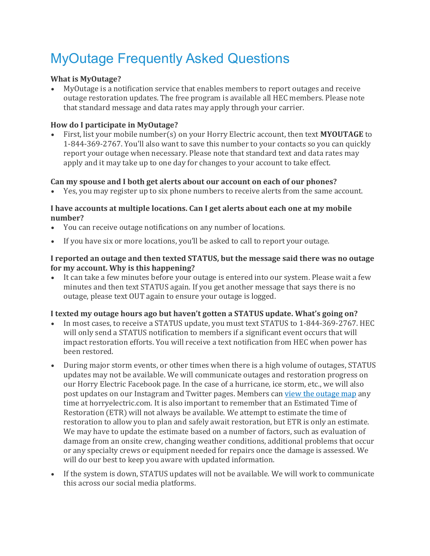# MyOutage Frequently Asked Questions

#### **What is MyOutage?**

• MyOutage is a notification service that enables members to report outages and receive outage restoration updates. The free program is available all HEC members. Please note that standard message and data rates may apply through your carrier.

#### **How do I participate in MyOutage?**

• First, list your mobile number(s) on your Horry Electric account, then text **MYOUTAGE** to 1-844-369-2767. You'll also want to save this number to your contacts so you can quickly report your outage when necessary. Please note that standard text and data rates may apply and it may take up to one day for changes to your account to take effect.

#### **Can my spouse and I both get alerts about our account on each of our phones?**

• Yes, you may register up to six phone numbers to receive alerts from the same account.

#### **I have accounts at multiple locations. Can I get alerts about each one at my mobile number?**

- You can receive outage notifications on any number of locations.
- If you have six or more locations, you'll be asked to call to report your outage.

#### **I reported an outage and then texted STATUS, but the message said there was no outage for my account. Why is this happening?**

• It can take a few minutes before your outage is entered into our system. Please wait a few minutes and then text STATUS again. If you get another message that says there is no outage, please text OUT again to ensure your outage is logged.

#### **I texted my outage hours ago but haven't gotten a STATUS update. What's going on?**

- In most cases, to receive a STATUS update, you must text STATUS to 1-844-369-2767. HEC will only send a STATUS notification to members if a significant event occurs that will impact restoration efforts. You will receive a text notification from HEC when power has been restored.
- During major storm events, or other times when there is a high volume of outages, STATUS updates may not be available. We will communicate outages and restoration progress on our Horry Electric Facebook page. In the case of a hurricane, ice storm, etc., we will also post updates on our Instagram and Twitter pages. Members can [view the outage map](http://outages.horryelectric.com:8080/) any time at horryelectric.com. It is also important to remember that an Estimated Time of Restoration (ETR) will not always be available. We attempt to estimate the time of restoration to allow you to plan and safely await restoration, but ETR is only an estimate. We may have to update the estimate based on a number of factors, such as evaluation of damage from an onsite crew, changing weather conditions, additional problems that occur or any specialty crews or equipment needed for repairs once the damage is assessed. We will do our best to keep you aware with updated information.
- If the system is down, STATUS updates will not be available. We will work to communicate this across our social media platforms.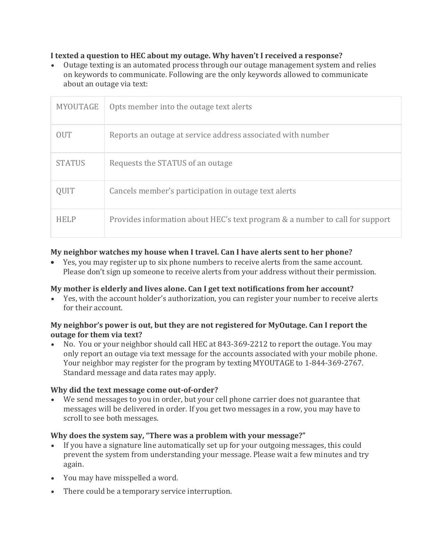#### **I texted a question to HEC about my outage. Why haven't I received a response?**

• Outage texting is an automated process through our outage management system and relies on keywords to communicate. Following are the only keywords allowed to communicate about an outage via text:

| MYOUTAGE      | Opts member into the outage text alerts                                      |
|---------------|------------------------------------------------------------------------------|
| <b>OUT</b>    | Reports an outage at service address associated with number                  |
| <b>STATUS</b> | Requests the STATUS of an outage                                             |
| QUIT          | Cancels member's participation in outage text alerts                         |
| <b>HELP</b>   | Provides information about HEC's text program & a number to call for support |

#### **My neighbor watches my house when I travel. Can I have alerts sent to her phone?**

• Yes, you may register up to six phone numbers to receive alerts from the same account. Please don't sign up someone to receive alerts from your address without their permission.

#### **My mother is elderly and lives alone. Can I get text notifications from her account?**

• Yes, with the account holder's authorization, you can register your number to receive alerts for their account.

#### **My neighbor's power is out, but they are not registered for MyOutage. Can I report the outage for them via text?**

• No. You or your neighbor should call HEC at 843-369-2212 to report the outage. You may only report an outage via text message for the accounts associated with your mobile phone. Your neighbor may register for the program by texting MYOUTAGE to 1-844-369-2767. Standard message and data rates may apply.

#### **Why did the text message come out-of-order?**

• We send messages to you in order, but your cell phone carrier does not guarantee that messages will be delivered in order. If you get two messages in a row, you may have to scroll to see both messages.

#### **Why does the system say, "There was a problem with your message?"**

- If you have a signature line automatically set up for your outgoing messages, this could prevent the system from understanding your message. Please wait a few minutes and try again.
- You may have misspelled a word.
- There could be a temporary service interruption.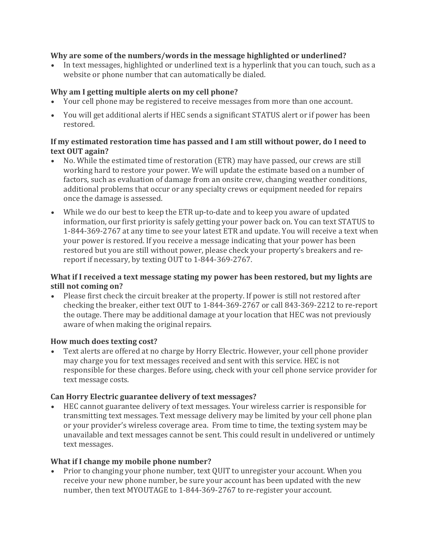#### **Why are some of the numbers/words in the message highlighted or underlined?**

• In text messages, highlighted or underlined text is a hyperlink that you can touch, such as a website or phone number that can automatically be dialed.

#### **Why am I getting multiple alerts on my cell phone?**

- Your cell phone may be registered to receive messages from more than one account.
- You will get additional alerts if HEC sends a significant STATUS alert or if power has been restored.

#### **If my estimated restoration time has passed and I am still without power, do I need to text OUT again?**

- No. While the estimated time of restoration (ETR) may have passed, our crews are still working hard to restore your power. We will update the estimate based on a number of factors, such as evaluation of damage from an onsite crew, changing weather conditions, additional problems that occur or any specialty crews or equipment needed for repairs once the damage is assessed.
- While we do our best to keep the ETR up-to-date and to keep you aware of updated information, our first priority is safely getting your power back on. You can text STATUS to 1-844-369-2767 at any time to see your latest ETR and update. You will receive a text when your power is restored. If you receive a message indicating that your power has been restored but you are still without power, please check your property's breakers and rereport if necessary, by texting OUT to 1-844-369-2767.

#### **What if I received a text message stating my power has been restored, but my lights are still not coming on?**

• Please first check the circuit breaker at the property. If power is still not restored after checking the breaker, either text OUT to 1-844-369-2767 or call 843-369-2212 to re-report the outage. There may be additional damage at your location that HEC was not previously aware of when making the original repairs.

#### **How much does texting cost?**

• Text alerts are offered at no charge by Horry Electric. However, your cell phone provider may charge you for text messages received and sent with this service. HEC is not responsible for these charges. Before using, check with your cell phone service provider for text message costs.

#### **Can Horry Electric guarantee delivery of text messages?**

• HEC cannot guarantee delivery of text messages. Your wireless carrier is responsible for transmitting text messages. Text message delivery may be limited by your cell phone plan or your provider's wireless coverage area. From time to time, the texting system may be unavailable and text messages cannot be sent. This could result in undelivered or untimely text messages.

#### **What if I change my mobile phone number?**

• Prior to changing your phone number, text QUIT to unregister your account. When you receive your new phone number, be sure your account has been updated with the new number, then text MYOUTAGE to 1-844-369-2767 to re-register your account.